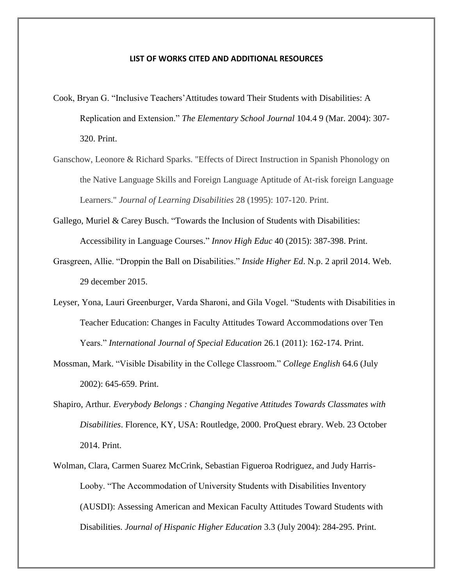## **LIST OF WORKS CITED AND ADDITIONAL RESOURCES**

- Cook, Bryan G. "Inclusive Teachers'Attitudes toward Their Students with Disabilities: A Replication and Extension." *The Elementary School Journal* 104.4 9 (Mar. 2004): 307- 320. Print.
- Ganschow, Leonore & Richard Sparks. "Effects of Direct Instruction in Spanish Phonology on the Native Language Skills and Foreign Language Aptitude of At-risk foreign Language Learners." *Journal of Learning Disabilities* 28 (1995): 107-120. Print.
- Gallego, Muriel & Carey Busch. "Towards the Inclusion of Students with Disabilities: Accessibility in Language Courses." *Innov High Educ* 40 (2015): 387-398. Print.
- Grasgreen, Allie. "Droppin the Ball on Disabilities." *Inside Higher Ed*. N.p. 2 april 2014. Web. 29 december 2015.
- Leyser, Yona, Lauri Greenburger, Varda Sharoni, and Gila Vogel. "Students with Disabilities in Teacher Education: Changes in Faculty Attitudes Toward Accommodations over Ten Years." *International Journal of Special Education* 26.1 (2011): 162-174. Print.
- Mossman, Mark. "Visible Disability in the College Classroom." *College English* 64.6 (July 2002): 645-659. Print.
- Shapiro, Arthur*. Everybody Belongs : Changing Negative Attitudes Towards Classmates with Disabilities*. Florence, KY, USA: Routledge, 2000. ProQuest ebrary. Web. 23 October 2014. Print.
- Wolman, Clara, Carmen Suarez McCrink, Sebastian Figueroa Rodriguez, and Judy Harris-Looby. "The Accommodation of University Students with Disabilities Inventory (AUSDI): Assessing American and Mexican Faculty Attitudes Toward Students with Disabilities. *Journal of Hispanic Higher Education* 3.3 (July 2004): 284-295. Print.